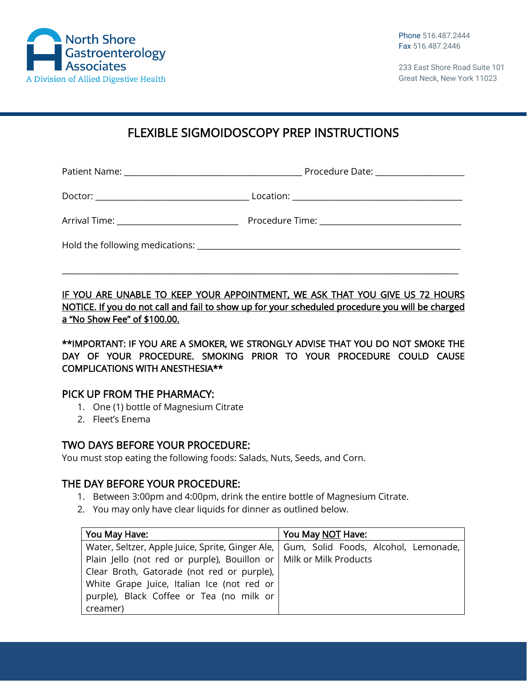

233 East Shore Road Suite 101 Great Neck, New York 11023

# FLEXIBLE SIGMOIDOSCOPY PREP INSTRUCTIONS

Patient Name: \_\_\_\_\_\_\_\_\_\_\_\_\_\_\_\_\_\_\_\_\_\_\_\_\_\_\_\_\_\_\_\_\_\_\_\_\_\_\_\_\_\_\_\_ Procedure Date: \_\_\_\_\_\_\_\_\_\_\_\_\_\_\_\_\_\_\_\_\_\_

Doctor: \_\_\_\_\_\_\_\_\_\_\_\_\_\_\_\_\_\_\_\_\_\_\_\_\_\_\_\_\_\_\_\_\_\_\_\_\_\_ Location: \_\_\_\_\_\_\_\_\_\_\_\_\_\_\_\_\_\_\_\_\_\_\_\_\_\_\_\_\_\_\_\_\_\_\_\_\_\_\_\_\_\_

Arrival Time: \_\_\_\_\_\_\_\_\_\_\_\_\_\_\_\_\_\_\_\_\_\_\_\_\_\_\_\_\_\_ Procedure Time: \_\_\_\_\_\_\_\_\_\_\_\_\_\_\_\_\_\_\_\_\_\_\_\_\_\_\_\_\_\_\_\_\_\_\_

\_\_\_\_\_\_\_\_\_\_\_\_\_\_\_\_\_\_\_\_\_\_\_\_\_\_\_\_\_\_\_\_\_\_\_\_\_\_\_\_\_\_\_\_\_\_\_\_\_\_\_\_\_\_\_\_\_\_\_\_\_\_\_\_\_\_\_\_\_\_\_\_\_\_\_\_\_\_\_\_\_\_\_\_\_\_\_\_\_\_\_\_\_\_\_\_\_\_

Hold the following medications: \_\_\_\_\_\_\_\_\_\_\_\_\_\_\_\_\_\_\_\_\_\_\_\_\_\_\_\_\_\_\_\_\_\_\_\_\_\_\_\_\_\_\_\_\_\_\_\_\_\_\_\_\_\_\_\_\_\_\_\_\_\_\_\_\_

IF YOU ARE UNABLE TO KEEP YOUR APPOINTMENT, WE ASK THAT YOU GIVE US 72 HOURS NOTICE. If you do not call and fail to show up for your scheduled procedure you will be charged a "No Show Fee" of \$100.00.

\*\*IMPORTANT: IF YOU ARE A SMOKER, WE STRONGLY ADVISE THAT YOU DO NOT SMOKE THE DAY OF YOUR PROCEDURE. SMOKING PRIOR TO YOUR PROCEDURE COULD CAUSE COMPLICATIONS WITH ANESTHESIA\*\*

## PICK UP FROM THE PHARMACY:

- 1. One (1) bottle of Magnesium Citrate
- 2. Fleet's Enema

## TWO DAYS BEFORE YOUR PROCEDURE:

You must stop eating the following foods: Salads, Nuts, Seeds, and Corn.

## THE DAY BEFORE YOUR PROCEDURE:

- 1. Between 3:00pm and 4:00pm, drink the entire bottle of Magnesium Citrate.
- 2. You may only have clear liquids for dinner as outlined below.

| You May Have:                                                                           | You May NOT Have: |
|-----------------------------------------------------------------------------------------|-------------------|
| Water, Seltzer, Apple Juice, Sprite, Ginger Ale,   Gum, Solid Foods, Alcohol, Lemonade, |                   |
| Plain Jello (not red or purple), Bouillon or   Milk or Milk Products                    |                   |
| Clear Broth, Gatorade (not red or purple),                                              |                   |
| White Grape Juice, Italian Ice (not red or                                              |                   |
| purple), Black Coffee or Tea (no milk or                                                |                   |
| creamer)                                                                                |                   |